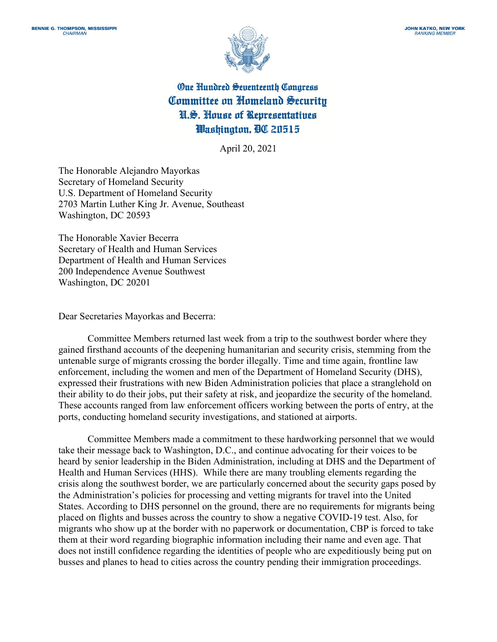

**One Hundred Seventeenth Congress** Committee on Homeland Security N.S. House of Representatives Washington, OC 20515

April 20, 2021

The Honorable Alejandro Mayorkas Secretary of Homeland Security U.S. Department of Homeland Security 2703 Martin Luther King Jr. Avenue, Southeast Washington, DC 20593

The Honorable Xavier Becerra Secretary of Health and Human Services Department of Health and Human Services 200 Independence Avenue Southwest Washington, DC 20201

Dear Secretaries Mayorkas and Becerra:

Committee Members returned last week from a trip to the southwest border where they gained firsthand accounts of the deepening humanitarian and security crisis, stemming from the untenable surge of migrants crossing the border illegally. Time and time again, frontline law enforcement, including the women and men of the Department of Homeland Security (DHS), expressed their frustrations with new Biden Administration policies that place a stranglehold on their ability to do their jobs, put their safety at risk, and jeopardize the security of the homeland. These accounts ranged from law enforcement officers working between the ports of entry, at the ports, conducting homeland security investigations, and stationed at airports.

Committee Members made a commitment to these hardworking personnel that we would take their message back to Washington, D.C., and continue advocating for their voices to be heard by senior leadership in the Biden Administration, including at DHS and the Department of Health and Human Services (HHS). While there are many troubling elements regarding the crisis along the southwest border, we are particularly concerned about the security gaps posed by the Administration's policies for processing and vetting migrants for travel into the United States. According to DHS personnel on the ground, there are no requirements for migrants being placed on flights and busses across the country to show a negative COVID-19 test. Also, for migrants who show up at the border with no paperwork or documentation, CBP is forced to take them at their word regarding biographic information including their name and even age. That does not instill confidence regarding the identities of people who are expeditiously being put on busses and planes to head to cities across the country pending their immigration proceedings.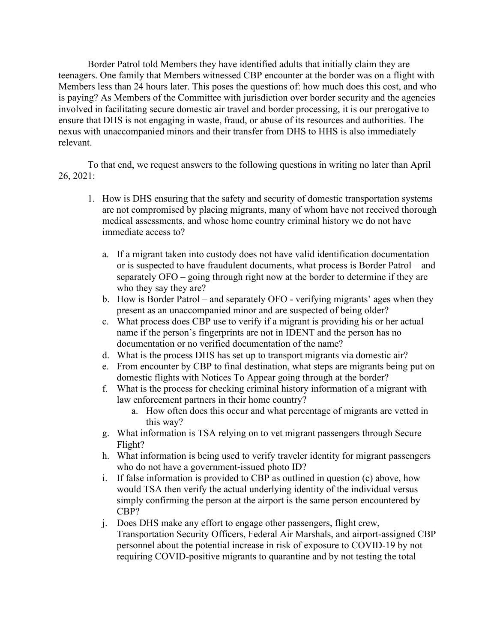Border Patrol told Members they have identified adults that initially claim they are teenagers. One family that Members witnessed CBP encounter at the border was on a flight with Members less than 24 hours later. This poses the questions of: how much does this cost, and who is paying? As Members of the Committee with jurisdiction over border security and the agencies involved in facilitating secure domestic air travel and border processing, it is our prerogative to ensure that DHS is not engaging in waste, fraud, or abuse of its resources and authorities. The nexus with unaccompanied minors and their transfer from DHS to HHS is also immediately relevant.

To that end, we request answers to the following questions in writing no later than April 26, 2021:

- 1. How is DHS ensuring that the safety and security of domestic transportation systems are not compromised by placing migrants, many of whom have not received thorough medical assessments, and whose home country criminal history we do not have immediate access to?
	- a. If a migrant taken into custody does not have valid identification documentation or is suspected to have fraudulent documents, what process is Border Patrol – and separately OFO – going through right now at the border to determine if they are who they say they are?
	- b. How is Border Patrol and separately OFO verifying migrants' ages when they present as an unaccompanied minor and are suspected of being older?
	- c. What process does CBP use to verify if a migrant is providing his or her actual name if the person's fingerprints are not in IDENT and the person has no documentation or no verified documentation of the name?
	- d. What is the process DHS has set up to transport migrants via domestic air?
	- e. From encounter by CBP to final destination, what steps are migrants being put on domestic flights with Notices To Appear going through at the border?
	- f. What is the process for checking criminal history information of a migrant with law enforcement partners in their home country?
		- a. How often does this occur and what percentage of migrants are vetted in this way?
	- g. What information is TSA relying on to vet migrant passengers through Secure Flight?
	- h. What information is being used to verify traveler identity for migrant passengers who do not have a government-issued photo ID?
	- i. If false information is provided to CBP as outlined in question (c) above, how would TSA then verify the actual underlying identity of the individual versus simply confirming the person at the airport is the same person encountered by CBP?
	- j. Does DHS make any effort to engage other passengers, flight crew, Transportation Security Officers, Federal Air Marshals, and airport-assigned CBP personnel about the potential increase in risk of exposure to COVID-19 by not requiring COVID-positive migrants to quarantine and by not testing the total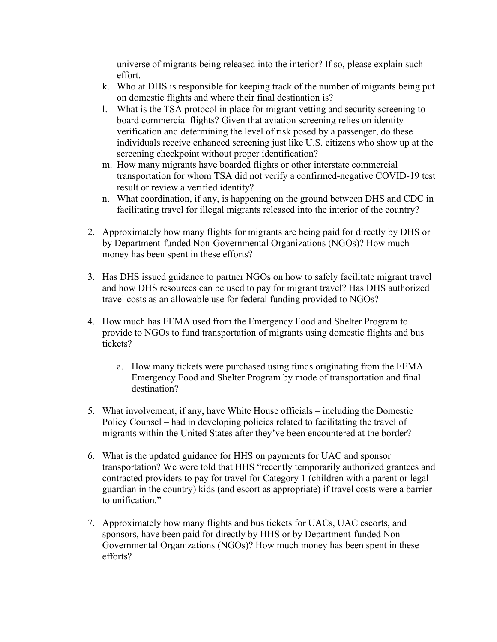universe of migrants being released into the interior? If so, please explain such effort.

- k. Who at DHS is responsible for keeping track of the number of migrants being put on domestic flights and where their final destination is?
- l. What is the TSA protocol in place for migrant vetting and security screening to board commercial flights? Given that aviation screening relies on identity verification and determining the level of risk posed by a passenger, do these individuals receive enhanced screening just like U.S. citizens who show up at the screening checkpoint without proper identification?
- m. How many migrants have boarded flights or other interstate commercial transportation for whom TSA did not verify a confirmed-negative COVID-19 test result or review a verified identity?
- n. What coordination, if any, is happening on the ground between DHS and CDC in facilitating travel for illegal migrants released into the interior of the country?
- 2. Approximately how many flights for migrants are being paid for directly by DHS or by Department-funded Non-Governmental Organizations (NGOs)? How much money has been spent in these efforts?
- 3. Has DHS issued guidance to partner NGOs on how to safely facilitate migrant travel and how DHS resources can be used to pay for migrant travel? Has DHS authorized travel costs as an allowable use for federal funding provided to NGOs?
- 4. How much has FEMA used from the Emergency Food and Shelter Program to provide to NGOs to fund transportation of migrants using domestic flights and bus tickets?
	- a. How many tickets were purchased using funds originating from the FEMA Emergency Food and Shelter Program by mode of transportation and final destination?
- 5. What involvement, if any, have White House officials including the Domestic Policy Counsel – had in developing policies related to facilitating the travel of migrants within the United States after they've been encountered at the border?
- 6. What is the updated guidance for HHS on payments for UAC and sponsor transportation? We were told that HHS "recently temporarily authorized grantees and contracted providers to pay for travel for Category 1 (children with a parent or legal guardian in the country) kids (and escort as appropriate) if travel costs were a barrier to unification."
- 7. Approximately how many flights and bus tickets for UACs, UAC escorts, and sponsors, have been paid for directly by HHS or by Department-funded Non-Governmental Organizations (NGOs)? How much money has been spent in these efforts?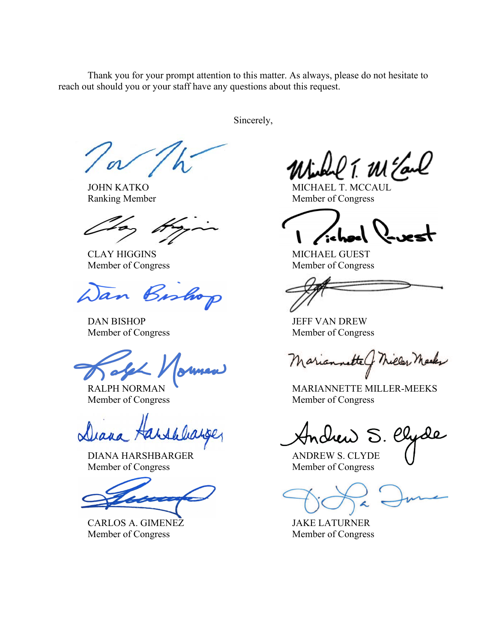Thank you for your prompt attention to this matter. As always, please do not hesitate to reach out should you or your staff have any questions about this request.

Sincerely,

an Bos

DAN BISHOP JEFF VAN DREW

DIANA HARSHBARGER ANDREW S. CLYDE Member of Congress Member of Congress

CARLOS A. GIMENEZ JAKE LATURNER Member of Congress Member of Congress

T. M Earl

JOHN KATKO MICHAEL T. MCCAUL Ranking Member Member Member of Congress

CLAY HIGGINS MICHAEL GUEST Member of Congress Member of Congress

Member of Congress Member of Congress

tte Chiller Meeks

RALPH NORMAN MARIANNETTE MILLER-MEEKS Member of Congress Member of Congress

drew S. Clyde